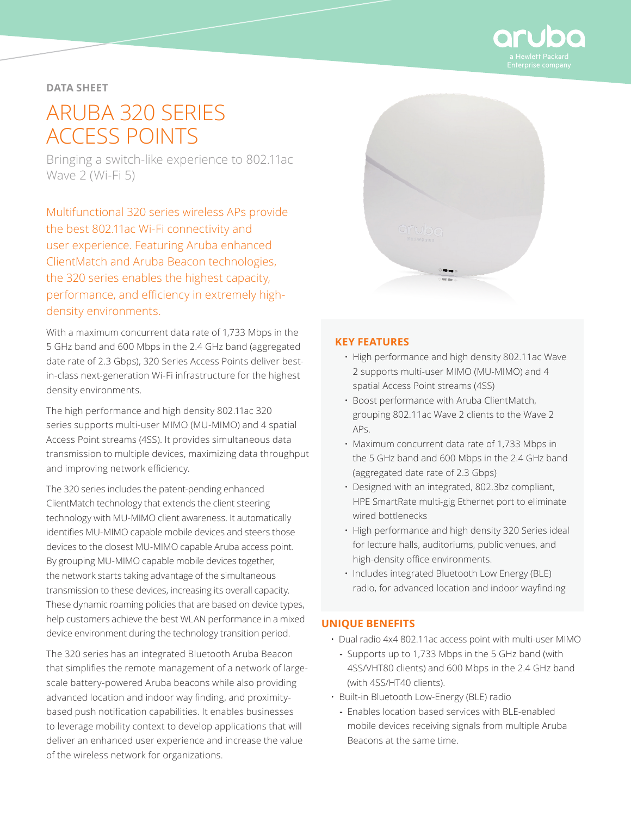

### **DATA SHEET**

# ARUBA 320 SERIES ACCESS POINTS

Bringing a switch-like experience to 802.11ac Wave 2 (Wi-Fi 5)

Multifunctional 320 series wireless APs provide the best 802.11ac Wi-Fi connectivity and user experience. Featuring Aruba enhanced ClientMatch and Aruba Beacon technologies, the 320 series enables the highest capacity, performance, and efficiency in extremely highdensity environments.

With a maximum concurrent data rate of 1,733 Mbps in the 5 GHz band and 600 Mbps in the 2.4 GHz band (aggregated date rate of 2.3 Gbps), 320 Series Access Points deliver bestin-class next-generation Wi-Fi infrastructure for the highest density environments.

The high performance and high density 802.11ac 320 series supports multi-user MIMO (MU-MIMO) and 4 spatial Access Point streams (4SS). It provides simultaneous data transmission to multiple devices, maximizing data throughput and improving network efficiency.

The 320 series includes the patent-pending enhanced ClientMatch technology that extends the client steering technology with MU-MIMO client awareness. It automatically identifies MU-MIMO capable mobile devices and steers those devices to the closest MU-MIMO capable Aruba access point. By grouping MU-MIMO capable mobile devices together, the network starts taking advantage of the simultaneous transmission to these devices, increasing its overall capacity. These dynamic roaming policies that are based on device types, help customers achieve the best WLAN performance in a mixed device environment during the technology transition period.

The 320 series has an integrated Bluetooth Aruba Beacon that simplifies the remote management of a network of largescale battery-powered Aruba beacons while also providing advanced location and indoor way finding, and proximitybased push notification capabilities. It enables businesses to leverage mobility context to develop applications that will deliver an enhanced user experience and increase the value of the wireless network for organizations.



## **KEY FEATURES**

- High performance and high density 802.11ac Wave 2 supports multi-user MIMO (MU-MIMO) and 4 spatial Access Point streams (4SS)
- Boost performance with Aruba ClientMatch, grouping 802.11ac Wave 2 clients to the Wave 2 APs.
- Maximum concurrent data rate of 1,733 Mbps in the 5 GHz band and 600 Mbps in the 2.4 GHz band (aggregated date rate of 2.3 Gbps)
- Designed with an integrated, 802.3bz compliant, HPE SmartRate multi-gig Ethernet port to eliminate wired bottlenecks
- High performance and high density 320 Series ideal for lecture halls, auditoriums, public venues, and high-density office environments.
- Includes integrated Bluetooth Low Energy (BLE) radio, for advanced location and indoor wayfinding

#### **UNIQUE BENEFITS**

- Dual radio 4x4 802.11ac access point with multi-user MIMO
	- **-** Supports up to 1,733 Mbps in the 5 GHz band (with 4SS/VHT80 clients) and 600 Mbps in the 2.4 GHz band (with 4SS/HT40 clients).
- Built-in Bluetooth Low-Energy (BLE) radio
- **-** Enables location based services with BLE-enabled mobile devices receiving signals from multiple Aruba Beacons at the same time.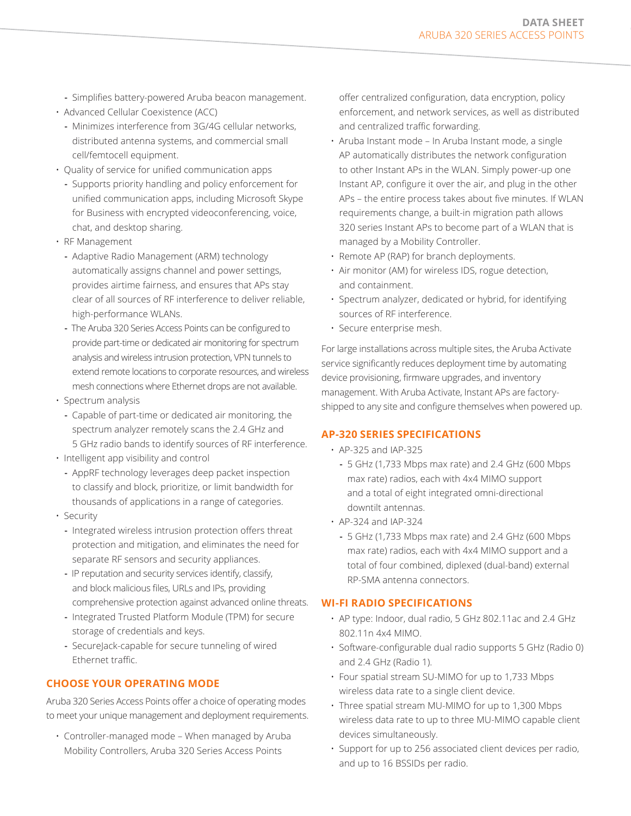- **-** Simplifies battery-powered Aruba beacon management.
- Advanced Cellular Coexistence (ACC)
	- **-** Minimizes interference from 3G/4G cellular networks, distributed antenna systems, and commercial small cell/femtocell equipment.
- Quality of service for unified communication apps
	- **-** Supports priority handling and policy enforcement for unified communication apps, including Microsoft Skype for Business with encrypted videoconferencing, voice, chat, and desktop sharing.
- RF Management
	- **-** Adaptive Radio Management (ARM) technology automatically assigns channel and power settings, provides airtime fairness, and ensures that APs stay clear of all sources of RF interference to deliver reliable, high-performance WLANs.
	- **-** The Aruba 320 Series Access Points can be configured to provide part-time or dedicated air monitoring for spectrum analysis and wireless intrusion protection, VPN tunnels to extend remote locations to corporate resources, and wireless mesh connections where Ethernet drops are not available.
- Spectrum analysis
	- **-** Capable of part-time or dedicated air monitoring, the spectrum analyzer remotely scans the 2.4 GHz and 5 GHz radio bands to identify sources of RF interference.
- Intelligent app visibility and control
	- **-** AppRF technology leverages deep packet inspection to classify and block, prioritize, or limit bandwidth for thousands of applications in a range of categories.
- Security
	- **-** Integrated wireless intrusion protection offers threat protection and mitigation, and eliminates the need for separate RF sensors and security appliances.
	- **-** IP reputation and security services identify, classify, and block malicious files, URLs and IPs, providing comprehensive protection against advanced online threats.
	- **-** Integrated Trusted Platform Module (TPM) for secure storage of credentials and keys.
	- **-** SecureJack-capable for secure tunneling of wired Ethernet traffic.

## **CHOOSE YOUR OPERATING MODE**

Aruba 320 Series Access Points offer a choice of operating modes to meet your unique management and deployment requirements.

• Controller-managed mode – When managed by Aruba Mobility Controllers, Aruba 320 Series Access Points

offer centralized configuration, data encryption, policy enforcement, and network services, as well as distributed and centralized traffic forwarding.

- Aruba Instant mode In Aruba Instant mode, a single AP automatically distributes the network configuration to other Instant APs in the WLAN. Simply power-up one Instant AP, configure it over the air, and plug in the other APs – the entire process takes about five minutes. If WLAN requirements change, a built-in migration path allows 320 series Instant APs to become part of a WLAN that is managed by a Mobility Controller.
- Remote AP (RAP) for branch deployments.
- Air monitor (AM) for wireless IDS, rogue detection, and containment.
- Spectrum analyzer, dedicated or hybrid, for identifying sources of RF interference.
- Secure enterprise mesh.

For large installations across multiple sites, the Aruba Activate service significantly reduces deployment time by automating device provisioning, firmware upgrades, and inventory management. With Aruba Activate, Instant APs are factoryshipped to any site and configure themselves when powered up.

## **AP-320 SERIES SPECIFICATIONS**

- AP-325 and IAP-325
	- **-** 5 GHz (1,733 Mbps max rate) and 2.4 GHz (600 Mbps max rate) radios, each with 4x4 MIMO support and a total of eight integrated omni-directional downtilt antennas.
- AP-324 and IAP-324
	- **-** 5 GHz (1,733 Mbps max rate) and 2.4 GHz (600 Mbps max rate) radios, each with 4x4 MIMO support and a total of four combined, diplexed (dual-band) external RP-SMA antenna connectors.

#### **WI-FI RADIO SPECIFICATIONS**

- AP type: Indoor, dual radio, 5 GHz 802.11ac and 2.4 GHz 802.11n 4x4 MIMO.
- Software-configurable dual radio supports 5 GHz (Radio 0) and 2.4 GHz (Radio 1).
- Four spatial stream SU-MIMO for up to 1,733 Mbps wireless data rate to a single client device.
- Three spatial stream MU-MIMO for up to 1,300 Mbps wireless data rate to up to three MU-MIMO capable client devices simultaneously.
- Support for up to 256 associated client devices per radio, and up to 16 BSSIDs per radio.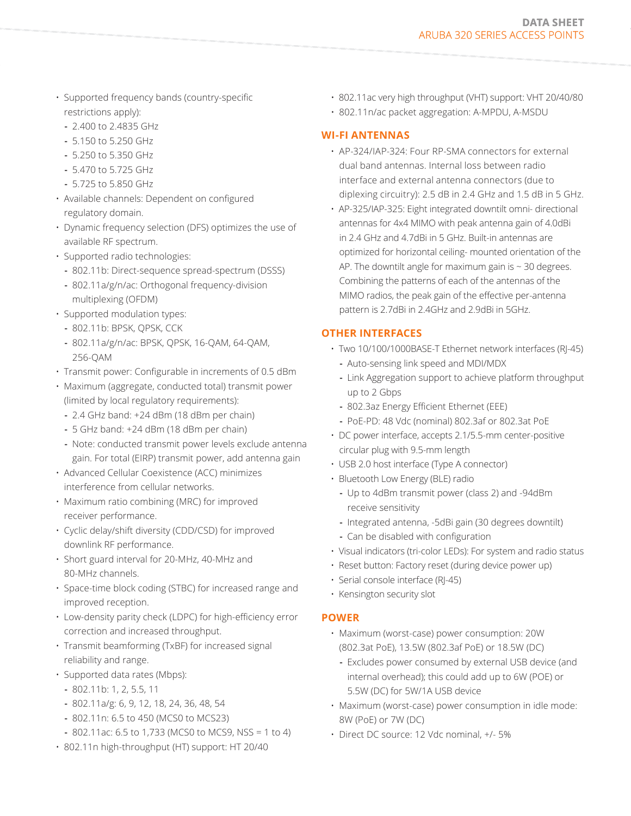- Supported frequency bands (country-specific restrictions apply):
	- **-** 2.400 to 2.4835 GHz
	- **-** 5.150 to 5.250 GHz
	- **-** 5.250 to 5.350 GHz
	- **-** 5.470 to 5.725 GHz
	- **-** 5.725 to 5.850 GHz
- Available channels: Dependent on configured regulatory domain.
- Dynamic frequency selection (DFS) optimizes the use of available RF spectrum.
- Supported radio technologies:
	- **-** 802.11b: Direct-sequence spread-spectrum (DSSS)
	- **-** 802.11a/g/n/ac: Orthogonal frequency-division multiplexing (OFDM)
- Supported modulation types:
	- **-** 802.11b: BPSK, QPSK, CCK
	- **-** 802.11a/g/n/ac: BPSK, QPSK, 16-QAM, 64-QAM, 256-QAM
- Transmit power: Configurable in increments of 0.5 dBm
- Maximum (aggregate, conducted total) transmit power (limited by local regulatory requirements):
	- **-** 2.4 GHz band: +24 dBm (18 dBm per chain)
	- **-** 5 GHz band: +24 dBm (18 dBm per chain)
	- **-** Note: conducted transmit power levels exclude antenna gain. For total (EIRP) transmit power, add antenna gain
- Advanced Cellular Coexistence (ACC) minimizes interference from cellular networks.
- Maximum ratio combining (MRC) for improved receiver performance.
- Cyclic delay/shift diversity (CDD/CSD) for improved downlink RF performance.
- Short guard interval for 20-MHz, 40-MHz and 80-MHz channels.
- Space-time block coding (STBC) for increased range and improved reception.
- Low-density parity check (LDPC) for high-efficiency error correction and increased throughput.
- Transmit beamforming (TxBF) for increased signal reliability and range.
- Supported data rates (Mbps):
	- **-** 802.11b: 1, 2, 5.5, 11
	- **-** 802.11a/g: 6, 9, 12, 18, 24, 36, 48, 54
	- **-** 802.11n: 6.5 to 450 (MCS0 to MCS23)
	- **-** 802.11ac: 6.5 to 1,733 (MCS0 to MCS9, NSS = 1 to 4)
- 802.11n high-throughput (HT) support: HT 20/40
- 802.11ac very high throughput (VHT) support: VHT 20/40/80
- 802.11n/ac packet aggregation: A-MPDU, A-MSDU

#### **WI-FI ANTENNAS**

- AP-324/IAP-324: Four RP-SMA connectors for external dual band antennas. Internal loss between radio interface and external antenna connectors (due to diplexing circuitry): 2.5 dB in 2.4 GHz and 1.5 dB in 5 GHz.
- AP-325/IAP-325: Eight integrated downtilt omni- directional antennas for 4x4 MIMO with peak antenna gain of 4.0dBi in 2.4 GHz and 4.7dBi in 5 GHz. Built-in antennas are optimized for horizontal ceiling- mounted orientation of the AP. The downtilt angle for maximum gain is  $\sim$  30 degrees. Combining the patterns of each of the antennas of the MIMO radios, the peak gain of the effective per-antenna pattern is 2.7dBi in 2.4GHz and 2.9dBi in 5GHz.

## **OTHER INTERFACES**

- Two 10/100/1000BASE-T Ethernet network interfaces (RJ-45)
	- **-** Auto-sensing link speed and MDI/MDX
	- **-** Link Aggregation support to achieve platform throughput up to 2 Gbps
	- **-** 802.3az Energy Efficient Ethernet (EEE)
	- **-** PoE-PD: 48 Vdc (nominal) 802.3af or 802.3at PoE
- DC power interface, accepts 2.1/5.5-mm center-positive circular plug with 9.5-mm length
- USB 2.0 host interface (Type A connector)
- Bluetooth Low Energy (BLE) radio
	- **-** Up to 4dBm transmit power (class 2) and -94dBm receive sensitivity
	- **-** Integrated antenna, -5dBi gain (30 degrees downtilt)
	- **-** Can be disabled with configuration
- Visual indicators (tri-color LEDs): For system and radio status
- Reset button: Factory reset (during device power up)
- Serial console interface (RJ-45)
- Kensington security slot

## **POWER**

- Maximum (worst-case) power consumption: 20W (802.3at PoE), 13.5W (802.3af PoE) or 18.5W (DC)
- **-** Excludes power consumed by external USB device (and internal overhead); this could add up to 6W (POE) or 5.5W (DC) for 5W/1A USB device
- Maximum (worst-case) power consumption in idle mode: 8W (PoE) or 7W (DC)
- Direct DC source: 12 Vdc nominal, +/- 5%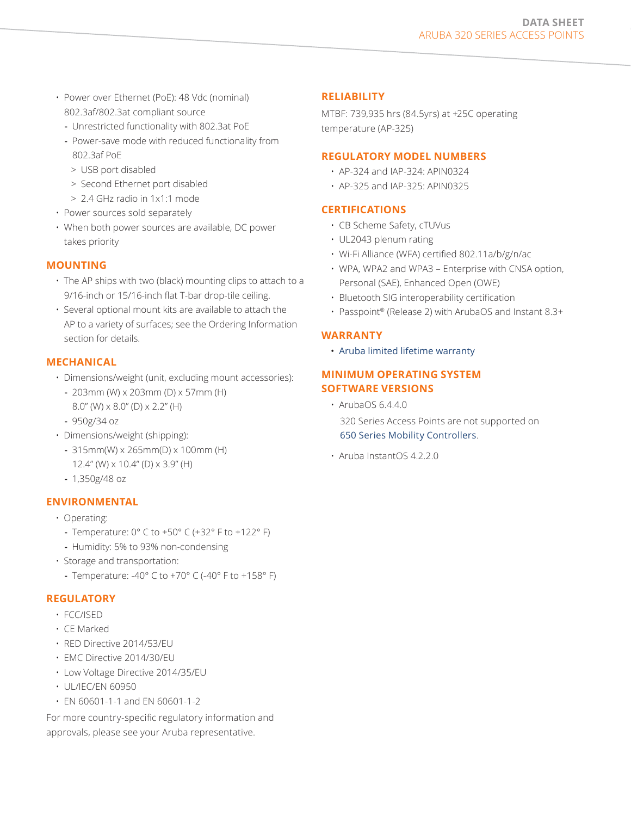- Power over Ethernet (PoE): 48 Vdc (nominal) 802.3af/802.3at compliant source
	- **-** Unrestricted functionality with 802.3at PoE
	- **-** Power-save mode with reduced functionality from 802.3af PoE
	- > USB port disabled
	- > Second Ethernet port disabled
	- > 2.4 GHz radio in 1x1:1 mode
- Power sources sold separately
- When both power sources are available, DC power takes priority

#### **MOUNTING**

- The AP ships with two (black) mounting clips to attach to a 9/16-inch or 15/16-inch flat T-bar drop-tile ceiling.
- Several optional mount kits are available to attach the AP to a variety of surfaces; see the Ordering Information section for details.

#### **MECHANICAL**

- Dimensions/weight (unit, excluding mount accessories):
	- **-** 203mm (W) x 203mm (D) x 57mm (H) 8.0" (W) x 8.0" (D) x 2.2" (H)
	- **-** 950g/34 oz
- Dimensions/weight (shipping):
	- **-** 315mm(W) x 265mm(D) x 100mm (H) 12.4" (W) x 10.4" (D) x 3.9" (H)
	- **-** 1,350g/48 oz

#### **ENVIRONMENTAL**

- Operating:
	- **-** Temperature: 0° C to +50° C (+32° F to +122° F)
	- **-** Humidity: 5% to 93% non-condensing
- Storage and transportation:
	- **-** Temperature: -40° C to +70° C (-40° F to +158° F)

#### **REGULATORY**

- FCC/ISED
- CE Marked
- RED Directive 2014/53/EU
- EMC Directive 2014/30/EU
- Low Voltage Directive 2014/35/EU
- UL/IEC/EN 60950
- EN 60601-1-1 and EN 60601-1-2

For more country-specific regulatory information and approvals, please see your Aruba representative.

#### **RELIABILITY**

MTBF: 739,935 hrs (84.5yrs) at +25C operating temperature (AP-325)

#### **REGULATORY MODEL NUMBERS**

- AP-324 and IAP-324: APIN0324
- AP-325 and IAP-325: APIN0325

#### **CERTIFICATIONS**

- CB Scheme Safety, cTUVus
- UL2043 plenum rating
- Wi-Fi Alliance (WFA) certified 802.11a/b/g/n/ac
- WPA, WPA2 and WPA3 Enterprise with CNSA option, Personal (SAE), Enhanced Open (OWE)
- Bluetooth SIG interoperability certification
- Passpoint® (Release 2) with ArubaOS and Instant 8.3+

#### **WARRANTY**

• [Aruba limited lifetime warranty](http://www.arubanetworks.com/support-services/product-warranties/)

## **MINIMUM OPERATING SYSTEM SOFTWARE VERSIONS**

• ArubaOS 6.4.4.0

320 Series Access Points are not supported on [650 Series Mobility Controllers](http://www.arubanetworks.com/support-services/end-of-life/#MobilityControllers).

• Aruba InstantOS 4.2.2.0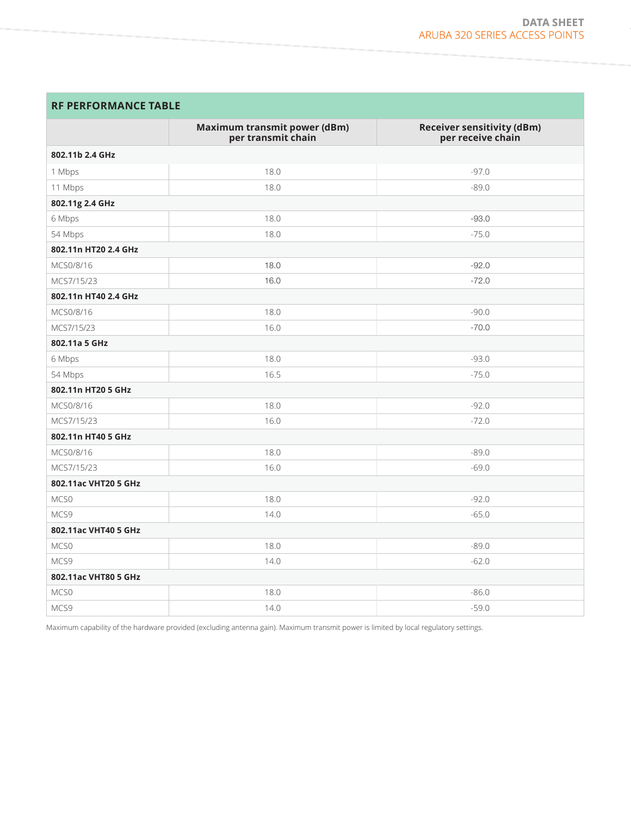## **RF PERFORMANCE TABLE**

|                      | <b>Maximum transmit power (dBm)</b><br>per transmit chain | <b>Receiver sensitivity (dBm)</b><br>per receive chain |
|----------------------|-----------------------------------------------------------|--------------------------------------------------------|
| 802.11b 2.4 GHz      |                                                           |                                                        |
| 1 Mbps               | 18.0                                                      | $-97.0$                                                |
| 11 Mbps              | 18.0                                                      | $-89.0$                                                |
| 802.11g 2.4 GHz      |                                                           |                                                        |
| 6 Mbps               | 18.0                                                      | $-93.0$                                                |
| 54 Mbps              | 18.0                                                      | $-75.0$                                                |
| 802.11n HT20 2.4 GHz |                                                           |                                                        |
| MCS0/8/16            | 18.0                                                      | $-92.0$                                                |
| MCS7/15/23           | 16.0                                                      | $-72.0$                                                |
| 802.11n HT40 2.4 GHz |                                                           |                                                        |
| MCS0/8/16            | 18.0                                                      | $-90.0$                                                |
| MCS7/15/23           | 16.0                                                      | $-70.0$                                                |
| 802.11a 5 GHz        |                                                           |                                                        |
| 6 Mbps               | 18.0                                                      | $-93.0$                                                |
| 54 Mbps              | 16.5                                                      | $-75.0$                                                |
| 802.11n HT20 5 GHz   |                                                           |                                                        |
| MCS0/8/16            | 18.0                                                      | $-92.0$                                                |
| MCS7/15/23           | 16.0                                                      | $-72.0$                                                |
| 802.11n HT40 5 GHz   |                                                           |                                                        |
| MCS0/8/16            | 18.0                                                      | $-89.0$                                                |
| MCS7/15/23           | 16.0                                                      | $-69.0$                                                |
| 802.11ac VHT20 5 GHz |                                                           |                                                        |
| MCS0                 | 18.0                                                      | $-92.0$                                                |
| MCS9                 | 14.0                                                      | $-65.0$                                                |
| 802.11ac VHT40 5 GHz |                                                           |                                                        |
| MCS0                 | 18.0                                                      | $-89.0$                                                |
| MCS9                 | 14.0                                                      | $-62.0$                                                |
| 802.11ac VHT80 5 GHz |                                                           |                                                        |
| MCS0                 | 18.0                                                      | $-86.0$                                                |
| MCS9                 | 14.0                                                      | $-59.0$                                                |

Maximum capability of the hardware provided (excluding antenna gain). Maximum transmit power is limited by local regulatory settings.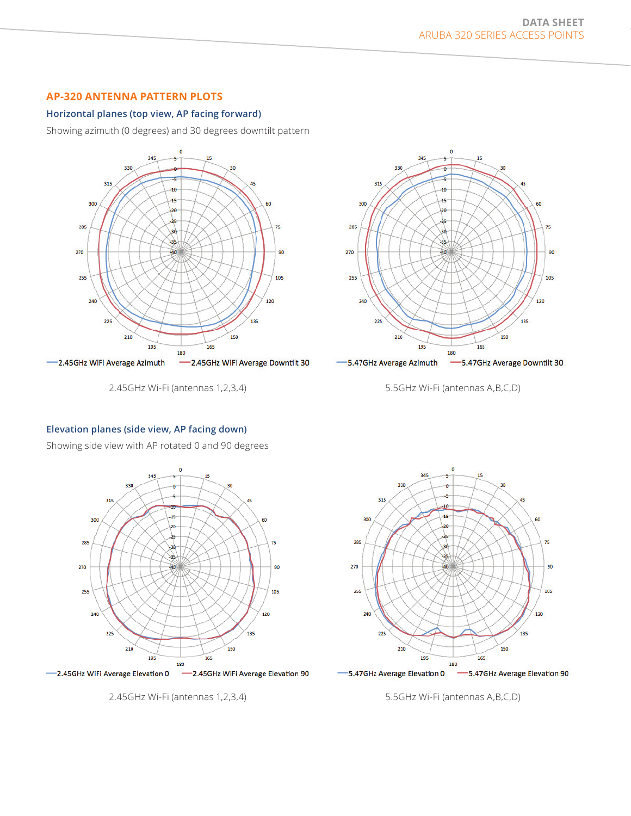## **AP-320 ANTENNA PATTERN PLOTS**

#### **Horizontal planes (top view, AP facing forward)**

Showing azimuth (0 degrees) and 30 degrees downtilt pattern



2.45GHz Wi-Fi (antennas 1,2,3,4)



5.5GHz Wi-Fi (antennas A,B,C,D)

#### **Elevation planes (side view, AP facing down)**

Showing side view with AP rotated 0 and 90 degrees



2.45GHz Wi-Fi (antennas 1,2,3,4)



-S.47GHz Average Elevation 0 -5.47GHz Average Elevation 90

5.5GHz Wi-Fi (antennas A,B,C,D)